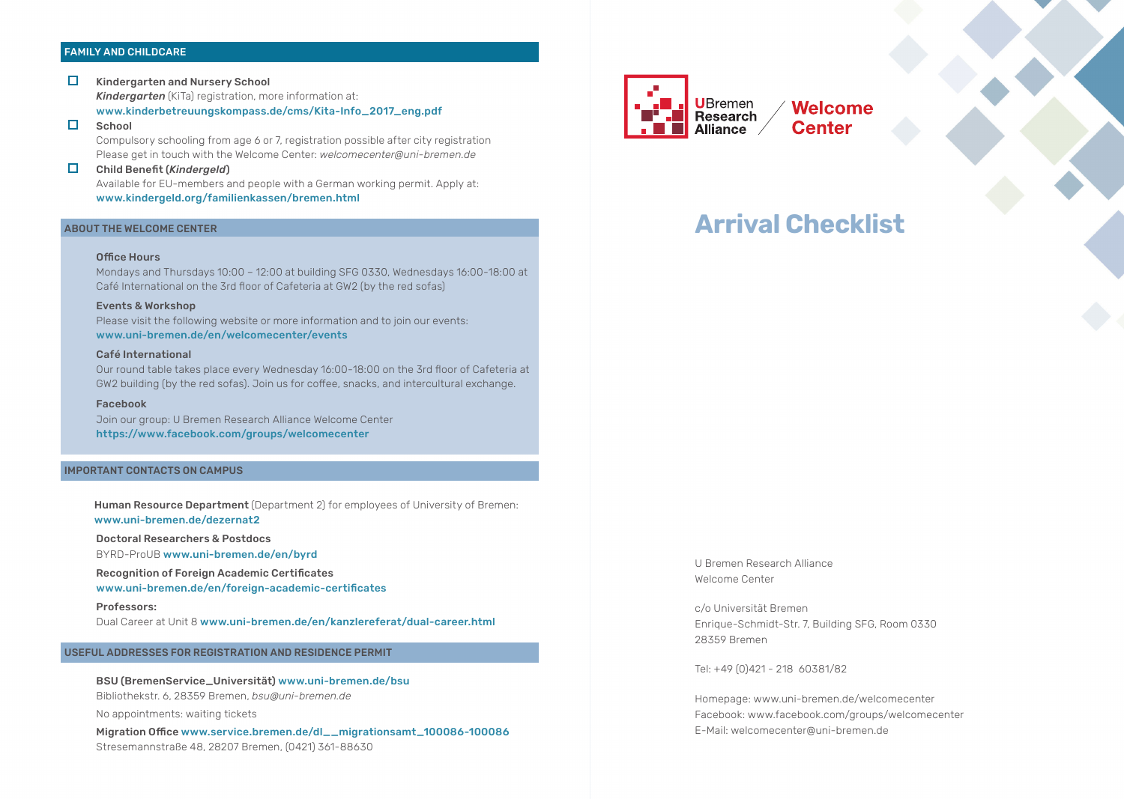#### FAMILY AND CHILDCARE

- $\Box$ Kindergarten and Nursery School *Kindergarten* (KiTa) registration, more information at: www.kinderbetreuungskompass.de/cms/Kita-Info\_2017\_eng.pdf
- П **School**

Compulsory schooling from age 6 or 7, registration possible after city registration Please get in touch with the Welcome Center: *welcomecenter@uni-bremen.de*

# Child Benefit (*Kindergeld*) Available for EU-members and people with a German working permit. Apply at:

#### www.kindergeld.org/familienkassen/bremen.html

#### ABOUT THE WELCOME CENTER

#### Office Hours

Mondays and Thursdays 10:00 – 12:00 at building SFG 0330, Wednesdays 16:00-18:00 at Café International on the 3rd floor of Cafeteria at GW2 (by the red sofas)

#### Events & Workshop

Please visit the following website or more information and to join our events: www.uni-bremen.de/en/welcomecenter/events

## Café International

Our round table takes place every Wednesday 16:00-18:00 on the 3rd floor of Cafeteria at GW2 building (by the red sofas). Join us for coffee, snacks, and intercultural exchange.

#### Facebook

Join our group: U Bremen Research Alliance Welcome Center https://www.facebook.com/groups/welcomecenter

# IMPORTANT CONTACTS ON CAMPUS

Human Resource Department (Department 2) for employees of University of Bremen: www.uni-bremen.de/dezernat2

Doctoral Researchers & Postdocs

BYRD-ProUB www.uni-bremen.de/en/byrd

Recognition of Foreign Academic Certificates

www.uni-bremen.de/en/foreign-academic-certificates

Professors: Dual Career at Unit 8 www.uni-bremen.de/en/kanzlereferat/dual-career.html

# USEFUL ADDRESSES FOR REGISTRATION AND RESIDENCE PERMIT

 BSU (BremenService\_Universität) www.uni-bremen.de/bsu Bibliothekstr. 6, 28359 Bremen, *bsu@uni-bremen.de* 

No appointments: waiting tickets

 Migration Office www.service.bremen.de/dl\_\_migrationsamt\_100086-100086 Stresemannstraße 48, 28207 Bremen, (0421) 361-88630



**Welcome Center** 

# **Arrival Checklist**

U Bremen Research Alliance Welcome Center

c/o Universität Bremen Enrique-Schmidt-Str. 7, Building SFG, Room 0330 28359 Bremen

Tel: +49 (0)421 - 218 60381/82

Homepage: www.uni-bremen.de/welcomecenter Facebook: www.facebook.com/groups/welcomecenter E-Mail: welcomecenter@uni-bremen.de